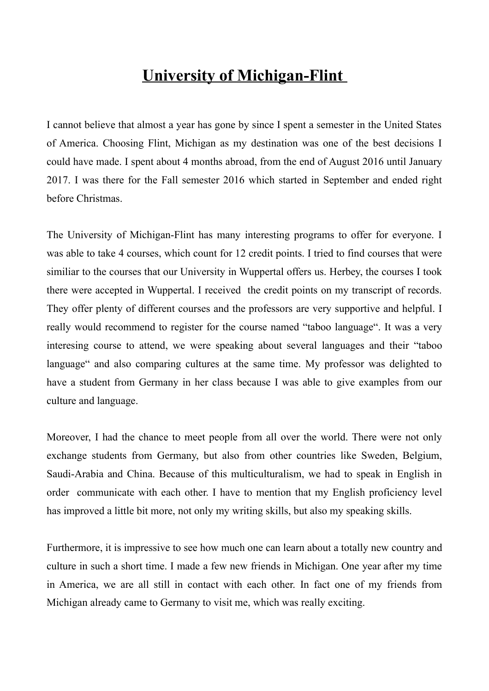## **University of Michigan-Flint**

I cannot believe that almost a year has gone by since I spent a semester in the United States of America. Choosing Flint, Michigan as my destination was one of the best decisions I could have made. I spent about 4 months abroad, from the end of August 2016 until January 2017. I was there for the Fall semester 2016 which started in September and ended right before Christmas.

The University of Michigan-Flint has many interesting programs to offer for everyone. I was able to take 4 courses, which count for 12 credit points. I tried to find courses that were similiar to the courses that our University in Wuppertal offers us. Herbey, the courses I took there were accepted in Wuppertal. I received the credit points on my transcript of records. They offer plenty of different courses and the professors are very supportive and helpful. I really would recommend to register for the course named "taboo language". It was a very interesing course to attend, we were speaking about several languages and their "taboo language" and also comparing cultures at the same time. My professor was delighted to have a student from Germany in her class because I was able to give examples from our culture and language.

Moreover, I had the chance to meet people from all over the world. There were not only exchange students from Germany, but also from other countries like Sweden, Belgium, Saudi-Arabia and China. Because of this multiculturalism, we had to speak in English in order communicate with each other. I have to mention that my English proficiency level has improved a little bit more, not only my writing skills, but also my speaking skills.

Furthermore, it is impressive to see how much one can learn about a totally new country and culture in such a short time. I made a few new friends in Michigan. One year after my time in America, we are all still in contact with each other. In fact one of my friends from Michigan already came to Germany to visit me, which was really exciting.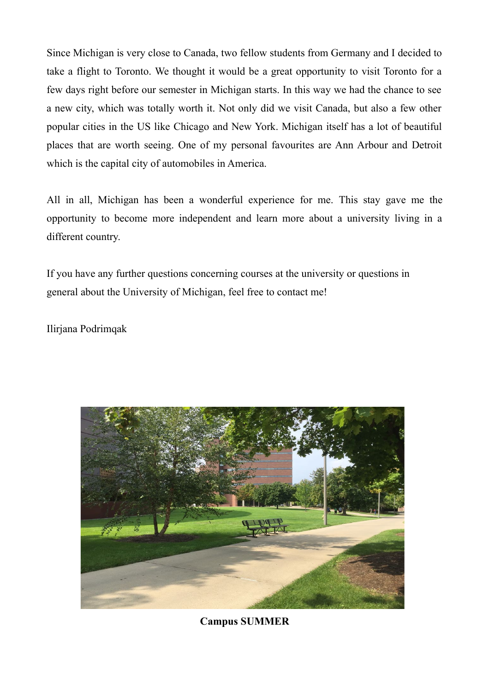Since Michigan is very close to Canada, two fellow students from Germany and I decided to take a flight to Toronto. We thought it would be a great opportunity to visit Toronto for a few days right before our semester in Michigan starts. In this way we had the chance to see a new city, which was totally worth it. Not only did we visit Canada, but also a few other popular cities in the US like Chicago and New York. Michigan itself has a lot of beautiful places that are worth seeing. One of my personal favourites are Ann Arbour and Detroit which is the capital city of automobiles in America.

All in all, Michigan has been a wonderful experience for me. This stay gave me the opportunity to become more independent and learn more about a university living in a different country.

If you have any further questions concerning courses at the university or questions in general about the University of Michigan, feel free to contact me!

Ilirjana Podrimqak



**Campus SUMMER**